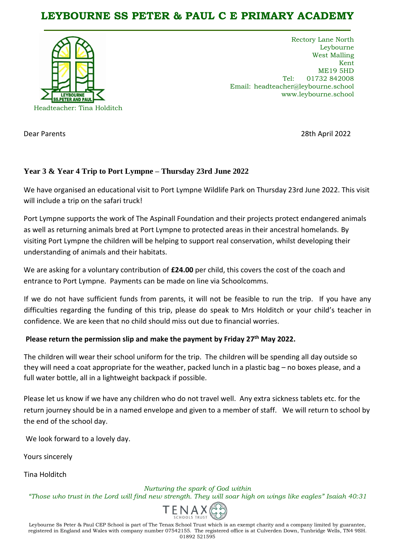## **LEYBOURNE SS PETER & PAUL C E PRIMARY ACADEMY**



Rectory Lane North Leybourne West Malling Kent ME19 5HD Tel: 01732 842008 Email: headteacher@leybourne.school www.leybourne.school

Dear Parents 28th April 2022

## **Year 3 & Year 4 Trip to Port Lympne – Thursday 23rd June 2022**

We have organised an educational visit to Port Lympne Wildlife Park on Thursday 23rd June 2022. This visit will include a trip on the safari truck!

Port Lympne supports the work of The Aspinall Foundation and their projects protect endangered animals as well as returning animals bred at Port Lympne to protected areas in their ancestral homelands. By visiting Port Lympne the children will be helping to support real conservation, whilst developing their understanding of animals and their habitats.

We are asking for a voluntary contribution of **£24.00** per child, this covers the cost of the coach and entrance to Port Lympne. Payments can be made on line via Schoolcomms.

If we do not have sufficient funds from parents, it will not be feasible to run the trip. If you have any difficulties regarding the funding of this trip, please do speak to Mrs Holditch or your child's teacher in confidence. We are keen that no child should miss out due to financial worries.

## Please return the permission slip and make the payment by Friday 27<sup>th</sup> May 2022.

The children will wear their school uniform for the trip. The children will be spending all day outside so they will need a coat appropriate for the weather, packed lunch in a plastic bag – no boxes please, and a full water bottle, all in a lightweight backpack if possible.

Please let us know if we have any children who do not travel well. Any extra sickness tablets etc. for the return journey should be in a named envelope and given to a member of staff. We will return to school by the end of the school day.

We look forward to a lovely day.

Yours sincerely

Tina Holditch

*Nurturing the spark of God within*

*"Those who trust in the Lord will find new strength. They will soar high on wings like eagles" Isaiah 40:31*



Leybourne Ss Peter & Paul CEP School is part of The Tenax School Trust which is an exempt charity and a company limited by guarantee, registered in England and Wales with company number 07542155. The registered office is at Culverden Down, Tunbridge Wells, TN4 9SH. 01892 521595